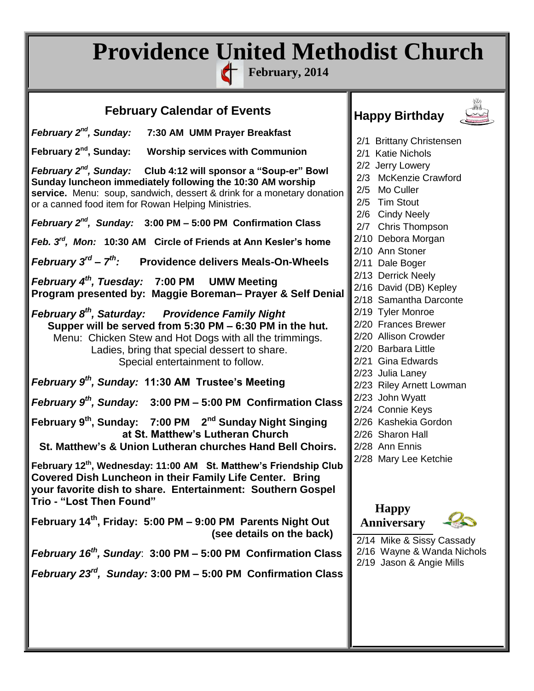## **Providence United Methodist Church**

**February, 2014**

| <b>February Calendar of Events</b>                                                                                      | <b>Happy Birthday</b>                       |
|-------------------------------------------------------------------------------------------------------------------------|---------------------------------------------|
| February 2 <sup>nd</sup> , Sunday:<br>7:30 AM UMM Prayer Breakfast                                                      |                                             |
|                                                                                                                         | 2/1 Brittany Christensen                    |
| February 2 <sup>nd</sup> , Sunday:<br><b>Worship services with Communion</b>                                            | 2/1 Katie Nichols                           |
| February 2 <sup>nd</sup> , Sunday: Club 4:12 will sponsor a "Soup-er" Bowl                                              | 2/2 Jerry Lowery                            |
| Sunday luncheon immediately following the 10:30 AM worship                                                              | 2/3 McKenzie Crawford                       |
| service. Menu: soup, sandwich, dessert & drink for a monetary donation                                                  | 2/5 Mo Culler                               |
| or a canned food item for Rowan Helping Ministries.                                                                     | 2/5 Tim Stout                               |
| February $2^{nd}$ , Sunday: 3:00 PM $-$ 5:00 PM Confirmation Class                                                      | 2/6 Cindy Neely<br>2/7 Chris Thompson       |
|                                                                                                                         | 2/10 Debora Morgan                          |
| Feb. 3 <sup>rd</sup> , Mon: 10:30 AM Circle of Friends at Ann Kesler's home                                             | 2/10 Ann Stoner                             |
| <i>February</i> $3^{rd}$ – $7^{th}$ : Providence delivers Meals-On-Wheels                                               | 2/11 Dale Boger                             |
|                                                                                                                         | 2/13 Derrick Neely                          |
| February 4 <sup>th</sup> , Tuesday: 7:00 PM UMW Meeting                                                                 | 2/16 David (DB) Kepley                      |
| Program presented by: Maggie Boreman- Prayer & Self Denial                                                              | 2/18 Samantha Darconte                      |
| February 8 <sup>th</sup> , Saturday: Providence Family Night                                                            | 2/19 Tyler Monroe                           |
| Supper will be served from 5:30 PM - 6:30 PM in the hut.                                                                | 2/20 Frances Brewer                         |
| Menu: Chicken Stew and Hot Dogs with all the trimmings.                                                                 | 2/20 Allison Crowder                        |
| Ladies, bring that special dessert to share.                                                                            | 2/20 Barbara Little                         |
| Special entertainment to follow.                                                                                        | 2/21 Gina Edwards                           |
| February 9 <sup>th</sup> , Sunday: 11:30 AM Trustee's Meeting                                                           | 2/23 Julia Laney                            |
|                                                                                                                         | 2/23 Riley Arnett Lowman<br>2/23 John Wyatt |
| February $9th$ , Sunday: 3:00 PM – 5:00 PM Confirmation Class                                                           | 2/24 Connie Keys                            |
| February 9 <sup>th</sup> , Sunday: 7:00 PM 2 <sup>nd</sup> Sunday Night Singing                                         | 2/26 Kashekia Gordon                        |
| at St. Matthew's Lutheran Church                                                                                        | 2/26 Sharon Hall                            |
| St. Matthew's & Union Lutheran churches Hand Bell Choirs.                                                               | 2/28 Ann Ennis                              |
|                                                                                                                         | 2/28 Mary Lee Ketchie                       |
| February 12 <sup>th</sup> , Wednesday: 11:00 AM St. Matthew's Friendship Club                                           |                                             |
| Covered Dish Luncheon in their Family Life Center. Bring<br>your favorite dish to share. Entertainment: Southern Gospel |                                             |
| Trio - "Lost Then Found"                                                                                                |                                             |
|                                                                                                                         | <b>Happy</b>                                |
| February 14th, Friday: 5:00 PM - 9:00 PM Parents Night Out                                                              | <b>Anniversary</b>                          |
| (see details on the back)                                                                                               | 2/14 Mike & Sissy Cassady                   |
| February $16^{th}$ , Sunday: 3:00 PM - 5:00 PM Confirmation Class                                                       | 2/16 Wayne & Wanda Nichols                  |
|                                                                                                                         | 2/19 Jason & Angie Mills                    |
| February $23^{rd}$ , Sunday: 3:00 PM - 5:00 PM Confirmation Class                                                       |                                             |
|                                                                                                                         |                                             |
|                                                                                                                         |                                             |
|                                                                                                                         |                                             |